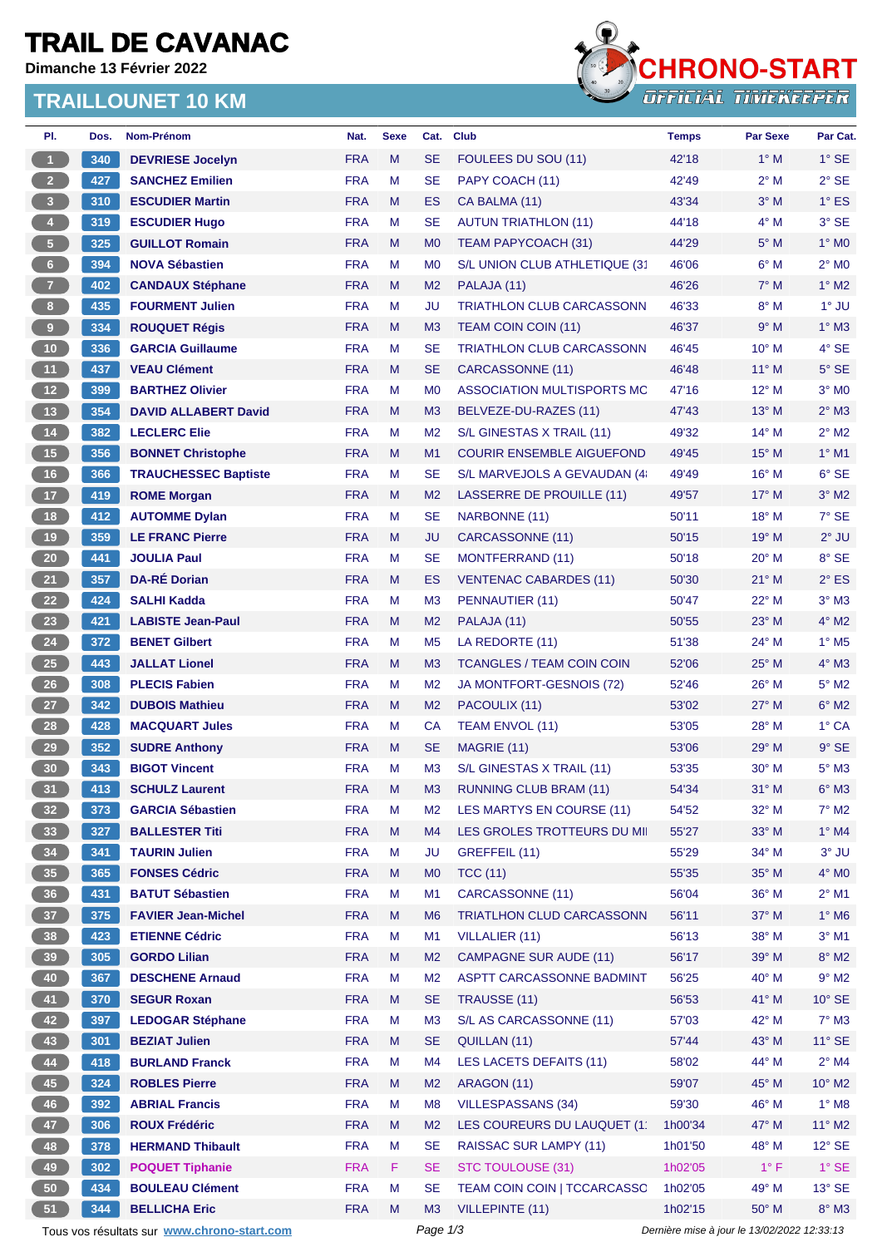## **TRAIL DE CAVANAC**

**Dimanche 13 Février 2022**

### **TRAILLOUNET 10 KM**



| PI.                                         | Dos. | Nom-Prénom                  | Nat.       | <b>Sexe</b> | Cat.           | <b>Club</b>                      | <b>Temps</b>                                | Par Sexe              | Par Cat.                 |  |
|---------------------------------------------|------|-----------------------------|------------|-------------|----------------|----------------------------------|---------------------------------------------|-----------------------|--------------------------|--|
| $\mathbf{1}$                                | 340  | <b>DEVRIESE Jocelyn</b>     | <b>FRA</b> | M           | <b>SE</b>      | FOULEES DU SOU (11)              | 42'18                                       | $1^\circ$ M           | $1^\circ$ SE             |  |
| 2 <sup>2</sup>                              | 427  | <b>SANCHEZ Emilien</b>      | <b>FRA</b> | M           | <b>SE</b>      | PAPY COACH (11)                  | 42'49                                       | $2^{\circ}$ M         | $2°$ SE                  |  |
| $\overline{\mathbf{3}}$                     | 310  | <b>ESCUDIER Martin</b>      | <b>FRA</b> | M           | ES             | CA BALMA (11)                    | 43'34                                       | $3^\circ$ M           | $1^\circ$ ES             |  |
| $\overline{4}$                              | 319  | <b>ESCUDIER Hugo</b>        | <b>FRA</b> | M           | SE             | <b>AUTUN TRIATHLON (11)</b>      | 44'18                                       | $4^\circ$ M           | 3° SE                    |  |
| 5 <sub>1</sub>                              | 325  | <b>GUILLOT Romain</b>       | <b>FRA</b> | M           | M <sub>0</sub> | TEAM PAPYCOACH (31)              | 44'29                                       | $5^\circ$ M           | $1^\circ$ MO             |  |
| $6 -$                                       | 394  | <b>NOVA Sébastien</b>       | <b>FRA</b> | M           | M <sub>0</sub> | S/L UNION CLUB ATHLETIQUE (31    | 46'06                                       | $6^\circ$ M           | $2^\circ$ MO             |  |
| 7 <sup>2</sup>                              | 402  | <b>CANDAUX Stéphane</b>     | <b>FRA</b> | M           | M <sub>2</sub> | PALAJA (11)                      | 46'26                                       | $7^\circ$ M           | $1^\circ$ M2             |  |
| $\boldsymbol{8}$                            | 435  | <b>FOURMENT Julien</b>      | <b>FRA</b> | M           | JU             | <b>TRIATHLON CLUB CARCASSONN</b> | 46'33                                       | $8^\circ$ M           | $1^\circ$ JU             |  |
| $\overline{9}$                              | 334  | <b>ROUQUET Régis</b>        | <b>FRA</b> | M           | M <sub>3</sub> | TEAM COIN COIN (11)              | 46'37                                       | 9° M                  | $1^\circ$ M3             |  |
| 10                                          | 336  | <b>GARCIA Guillaume</b>     | <b>FRA</b> | M           | SE             | <b>TRIATHLON CLUB CARCASSONN</b> | 46'45                                       | $10^{\circ}$ M        | 4° SE                    |  |
| 11 <sub>1</sub>                             | 437  | <b>VEAU Clément</b>         | <b>FRA</b> | M           | <b>SE</b>      | CARCASSONNE (11)                 | 46'48                                       | $11^{\circ}$ M        | $5^\circ$ SE             |  |
| $12$                                        | 399  | <b>BARTHEZ Olivier</b>      | <b>FRA</b> | M           | M <sub>0</sub> | ASSOCIATION MULTISPORTS MC       | 47'16                                       | 12° M                 | $3°$ MO                  |  |
| 13                                          | 354  | <b>DAVID ALLABERT David</b> | <b>FRA</b> | M           | M <sub>3</sub> | BELVEZE-DU-RAZES (11)            | 47'43                                       | 13° M                 | $2^{\circ}$ M3           |  |
| 14                                          | 382  | <b>LECLERC Elie</b>         | <b>FRA</b> | M           | M <sub>2</sub> | S/L GINESTAS X TRAIL (11)        | 49'32                                       | $14^{\circ}$ M        | $2^{\circ}$ M2           |  |
| 15                                          | 356  | <b>BONNET Christophe</b>    | <b>FRA</b> | M           | M1             | <b>COURIR ENSEMBLE AIGUEFOND</b> | 49'45                                       | $15^{\circ}$ M        | $1°$ M1                  |  |
| 16                                          | 366  | <b>TRAUCHESSEC Baptiste</b> | <b>FRA</b> | M           | <b>SE</b>      | S/L MARVEJOLS A GEVAUDAN (4)     | 49'49                                       | 16° M                 | $6°$ SE                  |  |
| 17 <sup>2</sup>                             | 419  | <b>ROME Morgan</b>          | <b>FRA</b> | M           | M <sub>2</sub> | LASSERRE DE PROUILLE (11)        | 49'57                                       | $17^\circ$ M          | $3°$ M2                  |  |
| 18                                          | 412  | <b>AUTOMME Dylan</b>        | <b>FRA</b> | M           | <b>SE</b>      | NARBONNE (11)                    | 50'11                                       | 18° M                 | $7^\circ$ SE             |  |
| 19                                          | 359  | <b>LE FRANC Pierre</b>      | <b>FRA</b> | M           | JU             | CARCASSONNE (11)                 | 50'15                                       | $19°$ M               | $2^{\circ}$ JU           |  |
| 20                                          | 441  | <b>JOULIA Paul</b>          | <b>FRA</b> | M           | SE             | <b>MONTFERRAND (11)</b>          | 50'18                                       | $20^{\circ}$ M        | 8° SE                    |  |
| 21                                          | 357  | <b>DA-RÉ Dorian</b>         | <b>FRA</b> | M           | ES             | <b>VENTENAC CABARDES (11)</b>    | 50'30                                       | $21^{\circ}$ M        | $2^{\circ}$ ES           |  |
| 22                                          | 424  | <b>SALHI Kadda</b>          | <b>FRA</b> | M           | M <sub>3</sub> | PENNAUTIER (11)                  | 50'47                                       | 22° M                 | $3^\circ$ M3             |  |
| 23                                          | 421  |                             | <b>FRA</b> |             |                |                                  |                                             |                       | $4^\circ$ M2             |  |
|                                             |      | <b>LABISTE Jean-Paul</b>    |            | M           | M <sub>2</sub> | PALAJA (11)                      | 50'55                                       | $23^\circ$ M<br>24° M | $1^\circ$ M <sub>5</sub> |  |
| 24                                          | 372  | <b>BENET Gilbert</b>        | <b>FRA</b> | M           | M <sub>5</sub> | LA REDORTE (11)                  | 51'38                                       |                       |                          |  |
| 25                                          | 443  | <b>JALLAT Lionel</b>        | <b>FRA</b> | M           | M <sub>3</sub> | <b>TCANGLES / TEAM COIN COIN</b> | 52'06                                       | $25^{\circ}$ M        | $4^\circ$ M3             |  |
| $26\phantom{.}$                             | 308  | <b>PLECIS Fabien</b>        | <b>FRA</b> | M           | M <sub>2</sub> | JA MONTFORT-GESNOIS (72)         | 52'46                                       | $26^{\circ}$ M        | $5^\circ$ M2             |  |
| 27                                          | 342  | <b>DUBOIS Mathieu</b>       | <b>FRA</b> | M           | M <sub>2</sub> | PACOULIX (11)                    | 53'02                                       | 27° M                 | $6^\circ$ M2             |  |
| 28                                          | 428  | <b>MACQUART Jules</b>       | <b>FRA</b> | M           | <b>CA</b>      | TEAM ENVOL (11)                  | 53'05                                       | $28^{\circ}$ M        | $1^\circ$ CA             |  |
| 29                                          | 352  | <b>SUDRE Anthony</b>        | <b>FRA</b> | M           | SE             | MAGRIE (11)                      | 53'06                                       | $29°$ M               | $9°$ SE                  |  |
| 30                                          | 343  | <b>BIGOT Vincent</b>        | <b>FRA</b> | M           | M <sub>3</sub> | S/L GINESTAS X TRAIL (11)        | 53'35                                       | $30^\circ$ M          | $5^\circ$ M3             |  |
| 31                                          | 413  | <b>SCHULZ Laurent</b>       | <b>FRA</b> | M           | M <sub>3</sub> | RUNNING CLUB BRAM (11)           | 54'34                                       | $31^\circ$ M          | $6^\circ$ M3             |  |
| 32 <sub>2</sub>                             | 373  | <b>GARCIA Sébastien</b>     | <b>FRA</b> | M           | M <sub>2</sub> | LES MARTYS EN COURSE (11)        | 54'52                                       | 32° M                 | $7^\circ$ M2             |  |
| 33                                          | 327  | <b>BALLESTER Titi</b>       | <b>FRA</b> | M           | M4             | LES GROLES TROTTEURS DU MII      | 55'27                                       | 33° M                 | $1^\circ$ M4             |  |
| 34                                          | 341  | <b>TAURIN Julien</b>        | <b>FRA</b> | M           | JU             | GREFFEIL (11)                    | 55'29                                       | 34° M                 | $3^\circ$ JU             |  |
| 35                                          | 365  | <b>FONSES Cédric</b>        | <b>FRA</b> | M           | M <sub>0</sub> | <b>TCC (11)</b>                  | 55'35                                       | 35° M                 | 4° MO                    |  |
| 36                                          | 431  | <b>BATUT Sébastien</b>      | <b>FRA</b> | M           | M1             | CARCASSONNE (11)                 | 56'04                                       | 36° M                 | $2^{\circ}$ M1           |  |
| 37 <sup>°</sup>                             | 375  | <b>FAVIER Jean-Michel</b>   | <b>FRA</b> | M           | M <sub>6</sub> | TRIATLHON CLUD CARCASSONN        | 56'11                                       | 37° M                 | 1° M6                    |  |
| 38                                          | 423  | <b>ETIENNE Cédric</b>       | <b>FRA</b> | M           | M1             | <b>VILLALIER (11)</b>            | 56'13                                       | 38° M                 | $3°$ M1                  |  |
| 39                                          | 305  | <b>GORDO Lilian</b>         | <b>FRA</b> | M           | M <sub>2</sub> | <b>CAMPAGNE SUR AUDE (11)</b>    | 56'17                                       | 39° M                 | $8^\circ$ M2             |  |
| 40                                          | 367  | <b>DESCHENE Arnaud</b>      | <b>FRA</b> | M           | M <sub>2</sub> | ASPTT CARCASSONNE BADMINT        | 56'25                                       | 40° M                 | $9°$ M2                  |  |
| 41                                          | 370  | <b>SEGUR Roxan</b>          | <b>FRA</b> | M           | <b>SE</b>      | TRAUSSE (11)                     | 56'53                                       | 41° M                 | $10^{\circ}$ SE          |  |
| 42                                          | 397  | <b>LEDOGAR Stéphane</b>     | <b>FRA</b> | M           | M <sub>3</sub> | S/L AS CARCASSONNE (11)          | 57'03                                       | 42° M                 | $7^\circ$ M3             |  |
| 43                                          | 301  | <b>BEZIAT Julien</b>        | <b>FRA</b> | M           | <b>SE</b>      | QUILLAN (11)                     | 57'44                                       | 43° M                 | $11^{\circ}$ SE          |  |
| 44                                          | 418  | <b>BURLAND Franck</b>       | <b>FRA</b> | M           | M4             | LES LACETS DEFAITS (11)          | 58'02                                       | 44° M                 | $2^{\circ}$ M4           |  |
| 45                                          | 324  | <b>ROBLES Pierre</b>        | <b>FRA</b> | M           | M <sub>2</sub> | ARAGON (11)                      | 59'07                                       | 45° M                 | $10^{\circ}$ M2          |  |
| 46                                          | 392  | <b>ABRIAL Francis</b>       | <b>FRA</b> | M           | M <sub>8</sub> | <b>VILLESPASSANS (34)</b>        | 59'30                                       | 46° M                 | $1^\circ$ M8             |  |
| 47                                          | 306  | <b>ROUX Frédéric</b>        | <b>FRA</b> | M           | M <sub>2</sub> | LES COUREURS DU LAUQUET (1       | 1h00'34                                     | 47° M                 | $11^{\circ}$ M2          |  |
| 48                                          | 378  | <b>HERMAND Thibault</b>     | <b>FRA</b> | M           | <b>SE</b>      | RAISSAC SUR LAMPY (11)           | 1h01'50                                     | 48° M                 | $12^{\circ}$ SE          |  |
| 49                                          | 302  | <b>POQUET Tiphanie</b>      | <b>FRA</b> | F           | <b>SE</b>      | <b>STC TOULOUSE (31)</b>         | 1h02'05                                     | $1^{\circ}$ F         | $1^\circ$ SE             |  |
| 50                                          | 434  | <b>BOULEAU Clément</b>      | <b>FRA</b> | M           | SE             | TEAM COIN COIN   TCCARCASSO      | 1h02'05                                     | 49° M                 | $13^\circ$ SE            |  |
| 51                                          | 344  | <b>BELLICHA Eric</b>        | <b>FRA</b> | M           | M3             | <b>VILLEPINTE (11)</b>           | 1h02'15                                     | 50° M                 | $8^\circ$ M3             |  |
| Tous vos résultats sur www.chrono-start.com |      |                             |            |             | Page 1/3       |                                  | Dernière mise à jour le 13/02/2022 12:33:13 |                       |                          |  |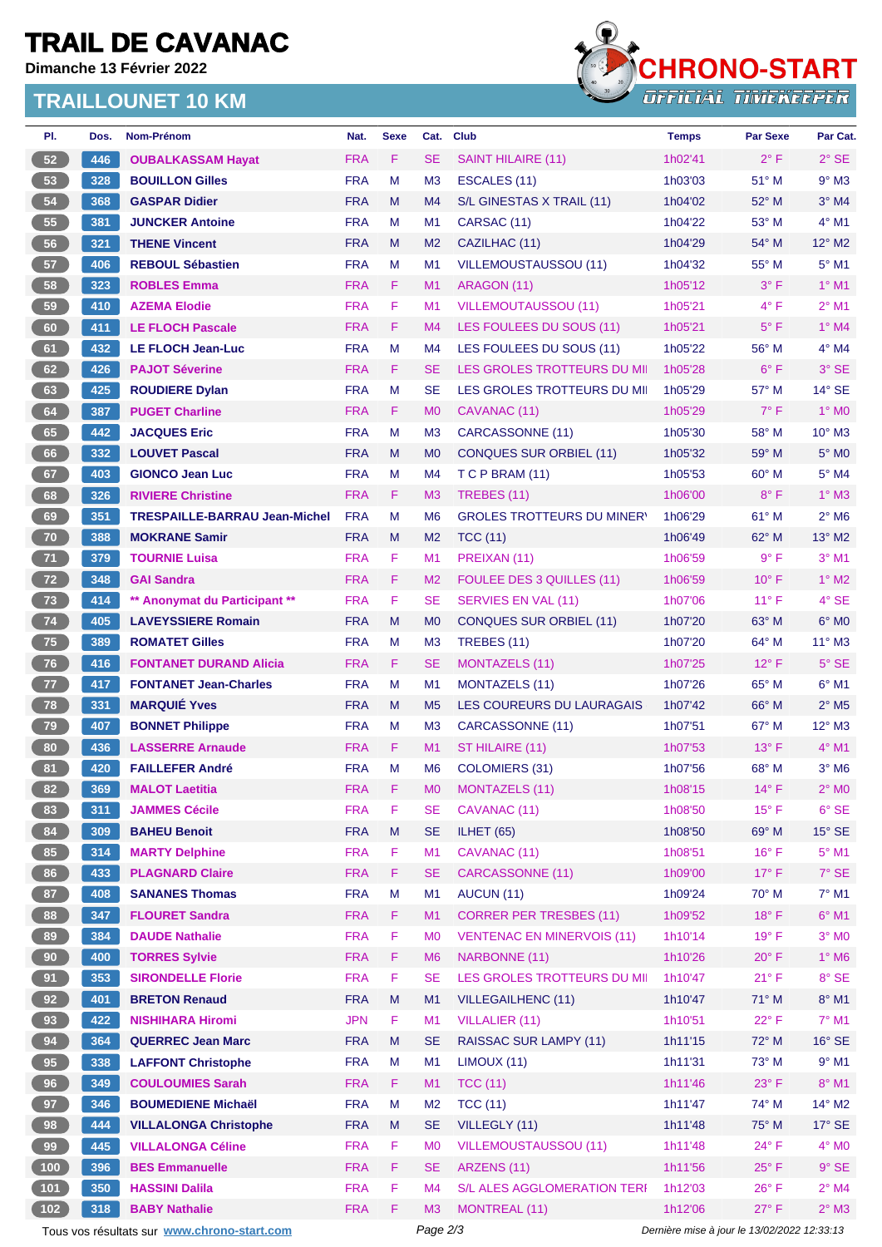# **TRAIL DE CAVANAC**

**Dimanche 13 Février 2022**

### **TRAILLOUNET 10 KM**



| PI.   | Dos. | <b>Nom-Prénom</b>                           | Nat.       | <b>Sexe</b> | Cat.           | <b>Club</b>                        | <b>Temps</b> | <b>Par Sexe</b>                             | Par Cat.                   |
|-------|------|---------------------------------------------|------------|-------------|----------------|------------------------------------|--------------|---------------------------------------------|----------------------------|
| 52    | 446  | <b>OUBALKASSAM Hayat</b>                    | <b>FRA</b> | F           | <b>SE</b>      | <b>SAINT HILAIRE (11)</b>          | 1h02'41      | $2^{\circ}$ F                               | $2^{\circ}$ SE             |
| 53    | 328  | <b>BOUILLON Gilles</b>                      | <b>FRA</b> | М           | M <sub>3</sub> | ESCALES (11)                       | 1h03'03      | $51^\circ$ M                                | $9°$ M3                    |
| 54    | 368  | <b>GASPAR Didier</b>                        | <b>FRA</b> | M           | M4             | S/L GINESTAS X TRAIL (11)          | 1h04'02      | $52^{\circ}$ M                              | $3^\circ$ M4               |
| 55    | 381  | <b>JUNCKER Antoine</b>                      | <b>FRA</b> | М           | M <sub>1</sub> | CARSAC (11)                        | 1h04'22      | $53^\circ$ M                                | $4^{\circ}$ M1             |
| 56    | 321  | <b>THENE Vincent</b>                        | <b>FRA</b> | M           | M <sub>2</sub> | CAZILHAC (11)                      | 1h04'29      | $54^{\circ}$ M                              | $12^{\circ}$ M2            |
| 57    | 406  | <b>REBOUL Sébastien</b>                     | <b>FRA</b> | М           | M <sub>1</sub> | <b>VILLEMOUSTAUSSOU (11)</b>       | 1h04'32      | 55° M                                       | $5^\circ$ M1               |
| 58    | 323  | <b>ROBLES Emma</b>                          | <b>FRA</b> | F           | M <sub>1</sub> | ARAGON (11)                        | 1h05'12      | $3^{\circ}$ F                               | $1^\circ$ M1               |
| 59    | 410  | <b>AZEMA Elodie</b>                         | <b>FRA</b> | F           | M <sub>1</sub> | <b>VILLEMOUTAUSSOU (11)</b>        | 1h05'21      | $4^{\circ}$ F                               | $2^{\circ}$ M1             |
| 60    | 411  | <b>LE FLOCH Pascale</b>                     | <b>FRA</b> | F           | M <sub>4</sub> | LES FOULEES DU SOUS (11)           | 1h05'21      | $5^{\circ}$ F                               | $1^\circ$ M4               |
| 61    | 432  | <b>LE FLOCH Jean-Luc</b>                    | <b>FRA</b> | М           | M4             | LES FOULEES DU SOUS (11)           | 1h05'22      | 56° M                                       | $4^\circ$ M4               |
| 62    | 426  | <b>PAJOT Séverine</b>                       | <b>FRA</b> | F.          | <b>SE</b>      | LES GROLES TROTTEURS DU MI         | 1h05'28      | $6^{\circ}$ F                               | $3^\circ$ SE               |
| 63    | 425  | <b>ROUDIERE Dylan</b>                       | <b>FRA</b> | М           | <b>SE</b>      | LES GROLES TROTTEURS DU MII        | 1h05'29      | $57^\circ$ M                                | $14^{\circ}$ SE            |
| 64    | 387  | <b>PUGET Charline</b>                       | <b>FRA</b> | F           | M <sub>0</sub> | CAVANAC (11)                       | 1h05'29      | $7^\circ$ F                                 | $1^\circ$ MO               |
| 65    | 442  | <b>JACQUES Eric</b>                         | <b>FRA</b> | М           | M <sub>3</sub> | CARCASSONNE (11)                   | 1h05'30      | $58^{\circ}$ M                              | $10^{\circ}$ M3            |
| 66    | 332  | <b>LOUVET Pascal</b>                        | <b>FRA</b> | M           | M <sub>0</sub> | <b>CONQUES SUR ORBIEL (11)</b>     | 1h05'32      | $59^\circ$ M                                | $5^\circ$ MO               |
| 67    | 403  | <b>GIONCO Jean Luc</b>                      | <b>FRA</b> | M           | M4             | T C P BRAM (11)                    | 1h05'53      | 60° M                                       | $5^\circ$ M4               |
| 68    | 326  | <b>RIVIERE Christine</b>                    | <b>FRA</b> | F.          | M <sub>3</sub> | TREBES (11)                        | 1h06'00      | $8^{\circ}$ F                               | $1^\circ$ M3               |
| 69    | 351  | <b>TRESPAILLE-BARRAU Jean-Michel</b>        | <b>FRA</b> | М           | M <sub>6</sub> | <b>GROLES TROTTEURS DU MINERY</b>  | 1h06'29      | $61^\circ$ M                                | $2^{\circ}$ M <sub>6</sub> |
| 70    | 388  | <b>MOKRANE Samir</b>                        | <b>FRA</b> | M           | M <sub>2</sub> | <b>TCC (11)</b>                    | 1h06'49      | 62° M                                       | $13^{\circ}$ M2            |
| 71    | 379  | <b>TOURNIE Luisa</b>                        | <b>FRA</b> | F           | M <sub>1</sub> | PREIXAN (11)                       | 1h06'59      | 9° F                                        | $3^{\circ}$ M1             |
| 72    | 348  | <b>GAI Sandra</b>                           | <b>FRA</b> | F.          | M <sub>2</sub> | FOULEE DES 3 QUILLES (11)          | 1h06'59      | $10^{\circ}$ F                              | $1^\circ$ M2               |
| 73    | 414  | ** Anonymat du Participant **               | <b>FRA</b> | F           | <b>SE</b>      | SERVIES EN VAL (11)                | 1h07'06      | $11^{\circ}$ F                              | $4^\circ$ SE               |
| 74    | 405  | <b>LAVEYSSIERE Romain</b>                   | <b>FRA</b> | M           | M <sub>0</sub> | <b>CONQUES SUR ORBIEL (11)</b>     | 1h07'20      | $63^\circ$ M                                | $6^{\circ}$ MO             |
| 75    | 389  | <b>ROMATET Gilles</b>                       | <b>FRA</b> | М           | M <sub>3</sub> | TREBES (11)                        | 1h07'20      | $64^{\circ}$ M                              | $11^{\circ}$ M3            |
| 76    | 416  | <b>FONTANET DURAND Alicia</b>               | <b>FRA</b> | F           | <b>SE</b>      | <b>MONTAZELS (11)</b>              | 1h07'25      | $12^{\circ}$ F                              | $5^\circ$ SE               |
| 77    | 417  | <b>FONTANET Jean-Charles</b>                | <b>FRA</b> | М           | M1             | MONTAZELS (11)                     | 1h07'26      | $65^{\circ}$ M                              | $6^{\circ}$ M1             |
| 78    | 331  | <b>MARQUIÉ Yves</b>                         | <b>FRA</b> | M           | M <sub>5</sub> | LES COUREURS DU LAURAGAIS          | 1h07'42      | $66^{\circ}$ M                              | $2^\circ$ M <sub>5</sub>   |
| 79    | 407  | <b>BONNET Philippe</b>                      | <b>FRA</b> | М           | M <sub>3</sub> | CARCASSONNE (11)                   | 1h07'51      | $67^\circ$ M                                | $12^{\circ}$ M3            |
| 80    | 436  | <b>LASSERRE Arnaude</b>                     | <b>FRA</b> | F           | M <sub>1</sub> | ST HILAIRE (11)                    | 1h07'53      | $13^{\circ}$ F                              | $4^\circ$ M1               |
| 81    | 420  | <b>FAILLEFER André</b>                      | <b>FRA</b> | М           | M <sub>6</sub> | COLOMIERS (31)                     | 1h07'56      | $68^{\circ}$ M                              | $3^\circ$ M <sub>6</sub>   |
| 82    | 369  | <b>MALOT Laetitia</b>                       | <b>FRA</b> | F.          | M <sub>0</sub> | <b>MONTAZELS (11)</b>              | 1h08'15      | $14^{\circ}$ F                              | $2^\circ$ MO               |
| 83    | 311  | <b>JAMMES Cécile</b>                        | <b>FRA</b> | F           | SE             | CAVANAC (11)                       | 1h08'50      | $15^{\circ}$ F                              | 6° SE                      |
| 84    | 309  | <b>BAHEU Benoit</b>                         | <b>FRA</b> | M           | <b>SE</b>      | ILHET (65)                         | 1h08'50      | 69° M                                       | $15^\circ$ SE              |
| 85    | 314  | <b>MARTY Delphine</b>                       | <b>FRA</b> | F           | M1             | CAVANAC (11)                       | 1h08'51      | $16^{\circ}$ F                              | $5^\circ$ M1               |
| 86    | 433  | <b>PLAGNARD Claire</b>                      | <b>FRA</b> | F           | <b>SE</b>      | <b>CARCASSONNE (11)</b>            | 1h09'00      | $17^{\circ}$ F                              | $7°$ SE                    |
| 87    | 408  | <b>SANANES Thomas</b>                       | <b>FRA</b> | M           | M1             | AUCUN (11)                         | 1h09'24      | 70° M                                       | $7^\circ$ M1               |
| 88    | 347  | <b>FLOURET Sandra</b>                       | <b>FRA</b> | F           | M1             | <b>CORRER PER TRESBES (11)</b>     | 1h09'52      | $18^{\circ}$ F                              | $6^\circ$ M1               |
| 89    | 384  | <b>DAUDE Nathalie</b>                       | <b>FRA</b> | F           | M <sub>0</sub> | <b>VENTENAC EN MINERVOIS (11)</b>  | 1h10'14      | $19^{\circ}$ F                              | $3^\circ$ MO               |
| 90    | 400  | <b>TORRES Sylvie</b>                        | <b>FRA</b> | F           | M <sub>6</sub> | NARBONNE (11)                      | 1h10'26      | $20^{\circ}$ F                              | $1^\circ$ M6               |
| 91    | 353  | <b>SIRONDELLE Florie</b>                    | <b>FRA</b> | $\mathsf F$ | <b>SE</b>      | LES GROLES TROTTEURS DU MII        | 1h10'47      | $21^{\circ}$ F                              | 8° SE                      |
| 92    | 401  | <b>BRETON Renaud</b>                        | <b>FRA</b> | Μ           | M <sub>1</sub> | VILLEGAILHENC (11)                 | 1h10'47      | 71° M                                       | $8^\circ$ M1               |
| 93    | 422  | <b>NISHIHARA Hiromi</b>                     | <b>JPN</b> | F           | M1             | <b>VILLALIER (11)</b>              | 1h10'51      | $22^{\circ}$ F                              | $7^\circ$ M1               |
| 94    | 364  | <b>QUERREC Jean Marc</b>                    | <b>FRA</b> | M           | <b>SE</b>      | RAISSAC SUR LAMPY (11)             | 1h11'15      | 72° M                                       | $16^\circ$ SE              |
| 95    | 338  | <b>LAFFONT Christophe</b>                   | <b>FRA</b> | M           | M1             | LIMOUX (11)                        | 1h11'31      | 73° M                                       | $9°$ M1                    |
| 96    | 349  | <b>COULOUMIES Sarah</b>                     | <b>FRA</b> | F.          | M1             | <b>TCC (11)</b>                    | 1h11'46      | $23^{\circ}$ F                              | $8^\circ$ M1               |
| 97    | 346  | <b>BOUMEDIENE Michaël</b>                   | <b>FRA</b> | М           | M <sub>2</sub> | <b>TCC (11)</b>                    | 1h11'47      | 74° M                                       | 14° M2                     |
| 98    | 444  | <b>VILLALONGA Christophe</b>                | <b>FRA</b> | M           | <b>SE</b>      | VILLEGLY (11)                      | 1h11'48      | 75° M                                       | $17^\circ$ SE              |
| 99    | 445  | <b>VILLALONGA Céline</b>                    | <b>FRA</b> | F           | M <sub>0</sub> | <b>VILLEMOUSTAUSSOU (11)</b>       | 1h11'48      | $24^{\circ}$ F                              | $4^\circ$ MO               |
| 100   | 396  | <b>BES Emmanuelle</b>                       | <b>FRA</b> | F           | <b>SE</b>      | ARZENS (11)                        | 1h11'56      | $25^{\circ}$ F                              | $9°$ SE                    |
| $101$ | 350  | <b>HASSINI Dalila</b>                       | <b>FRA</b> | F           | M <sub>4</sub> | <b>S/L ALES AGGLOMERATION TERF</b> | 1h12'03      | $26^{\circ}$ F                              | $2^{\circ}$ M4             |
| 102   | 318  | <b>BABY Nathalie</b>                        | <b>FRA</b> | F           | M <sub>3</sub> | <b>MONTREAL (11)</b>               | 1h12'06      | $27^{\circ}$ F                              | $2^\circ$ M3               |
|       |      | Tous vos résultats sur www.chrono-start.com |            |             | Page 2/3       |                                    |              | Dernière mise à jour le 13/02/2022 12:33:13 |                            |